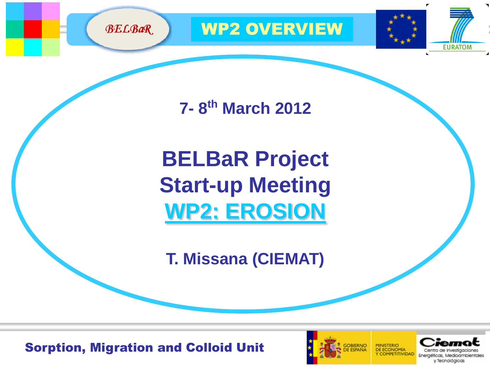

**7- 8 th March 2012**

**BELBaR Project Start-up Meeting WP2: EROSION**

**T. Missana (CIEMAT)**

Sorption, Migration and Colloid Unit





**EURATOM**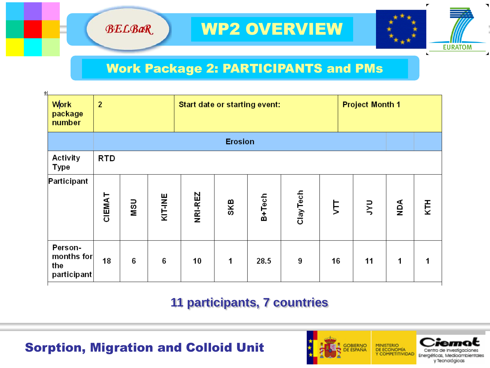



## Work Package 2: PARTICIPANTS and PMs

| ÷۱                                          |                |                |                |                               |             |        |           |    |                        |     |     |  |
|---------------------------------------------|----------------|----------------|----------------|-------------------------------|-------------|--------|-----------|----|------------------------|-----|-----|--|
| Work<br>package<br>number                   | $\overline{2}$ |                |                | Start date or starting event: |             |        |           |    | <b>Project Month 1</b> |     |     |  |
|                                             |                | <b>Erosion</b> |                |                               |             |        |           |    |                        |     |     |  |
| Activity<br><b>Type</b>                     | <b>RTD</b>     |                |                |                               |             |        |           |    |                        |     |     |  |
| Participant                                 | CIEMAT         | nsn            | <b>KIT-INE</b> | NRI-REZ                       | SKB         | B+Tech | Clay Tech | È  | ΡŃ                     | ЙQN | KTH |  |
| Person-<br>months for<br>the<br>participant | 18             | 6              | 6              | 10                            | $\mathbf 1$ | 28.5   | 9         | 16 | 11                     | 1   | 1   |  |

## **11 participants, 7 countries**

Sorption, Migration and Colloid Unit

**BELBaR** 

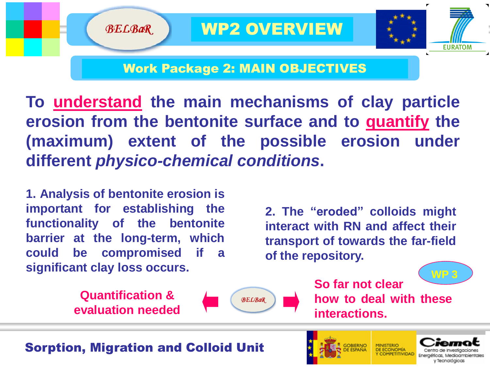

## Work Package 2: MAIN OBJECTIVES

**To understand the main mechanisms of clay particle erosion from the bentonite surface and to quantify the (maximum) extent of the possible erosion under different** *physico-chemical conditions***.**

**1. Analysis of bentonite erosion is important for establishing the functionality of the bentonite barrier at the long-term, which could be compromised if a significant clay loss occurs.**

**BELBaR** 

**2. The "eroded" colloids might interact with RN and affect their transport of towards the far-field of the repository.**

**Quantification & evaluation needed**



**WP 3 So far not clear how to deal with these interactions.**

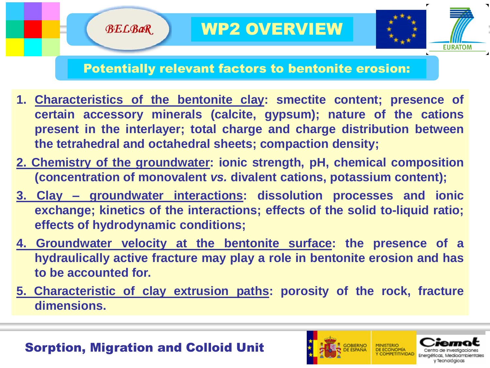

## Potentially relevant factors to bentonite erosion:

- **1. Characteristics of the bentonite clay: smectite content; presence of certain accessory minerals (calcite, gypsum); nature of the cations present in the interlayer; total charge and charge distribution between the tetrahedral and octahedral sheets; compaction density;**
- **2. Chemistry of the groundwater: ionic strength, pH, chemical composition (concentration of monovalent** *vs.* **divalent cations, potassium content);**
- **3. Clay – groundwater interactions: dissolution processes and ionic exchange; kinetics of the interactions; effects of the solid to-liquid ratio; effects of hydrodynamic conditions;**
- **4. Groundwater velocity at the bentonite surface: the presence of a hydraulically active fracture may play a role in bentonite erosion and has to be accounted for.**
- **5. Characteristic of clay extrusion paths: porosity of the rock, fracture dimensions.**

## Sorption, Migration and Colloid Unit

**BELBaR** 

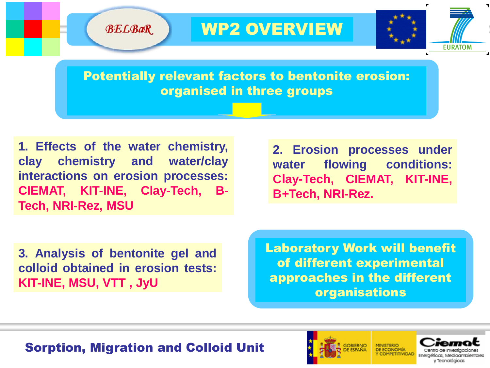**EURATOM** 

Potentially relevant factors to bentonite erosion: organised in three groups

**1. Effects of the water chemistry, clay chemistry and water/clay interactions on erosion processes: CIEMAT, KIT-INE, Clay-Tech, B-Tech, NRI-Rez, MSU**

**BELBaR** 

**2. Erosion processes under water flowing conditions: Clay-Tech, CIEMAT, KIT-INE, B+Tech, NRI-Rez.**

**3. Analysis of bentonite gel and colloid obtained in erosion tests: KIT-INE, MSU, VTT , JyU**

Laboratory Work will benefit of different experimental approaches in the different organisations

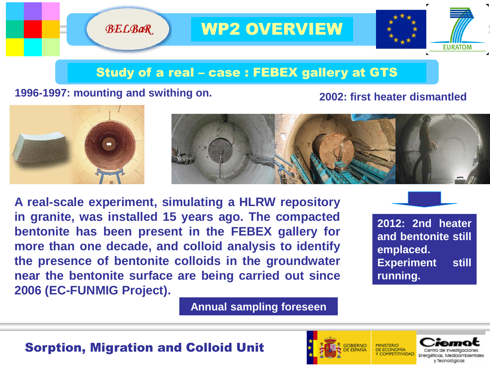

## Study of a real – case : FEBEX gallery at GTS

#### **1996-1997: mounting and swithing on. 2002: first heater dismantled**

**BELBaR** 



**A real-scale experiment, simulating a HLRW repository in granite, was installed 15 years ago. The compacted bentonite has been present in the FEBEX gallery for more than one decade, and colloid analysis to identify the presence of bentonite colloids in the groundwater near the bentonite surface are being carried out since 2006 (EC-FUNMIG Project).**



**2012: 2nd heater and bentonite still emplaced. Experiment still running.**

**Annual sampling foreseen**



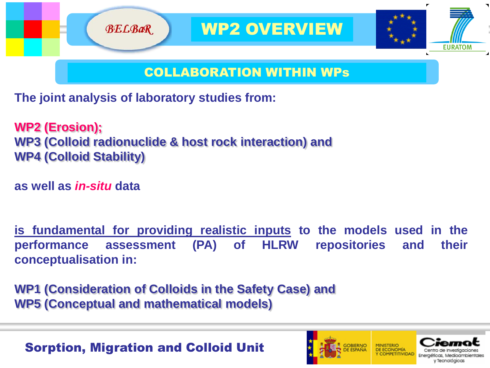

#### COLLABORATION WITHIN WPs

**The joint analysis of laboratory studies from:**

**WP2 (Erosion); WP3 (Colloid radionuclide & host rock interaction) and WP4 (Colloid Stability)**

**as well as** *in-situ* **data**

**is fundamental for providing realistic inputs to the models used in the performance assessment (PA) of HLRW repositories and their conceptualisation in:**

**WP1 (Consideration of Colloids in the Safety Case) and WP5 (Conceptual and mathematical models)** 

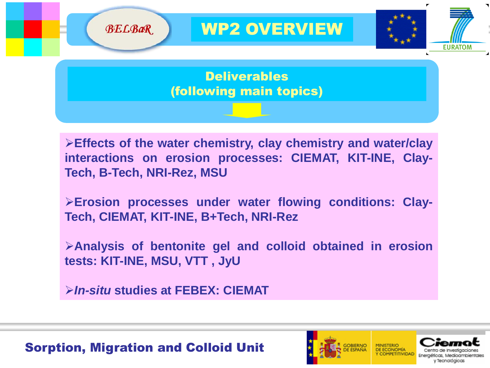

**Effects of the water chemistry, clay chemistry and water/clay interactions on erosion processes: CIEMAT, KIT-INE, Clay-Tech, B-Tech, NRI-Rez, MSU**

**Erosion processes under water flowing conditions: Clay-Tech, CIEMAT, KIT-INE, B+Tech, NRI-Rez**

**Analysis of bentonite gel and colloid obtained in erosion tests: KIT-INE, MSU, VTT , JyU**

*In-situ* **studies at FEBEX: CIEMAT**

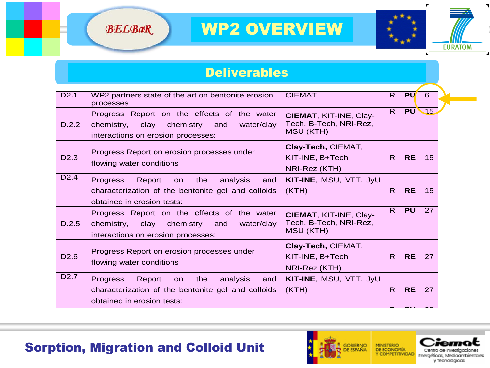



#### Deliverables

| D2.1             | WP2 partners state of the art on bentonite erosion<br>processes                                                                           | <b>CIEMAT</b>                                                               | R.           | <b>PU</b> | 6               |
|------------------|-------------------------------------------------------------------------------------------------------------------------------------------|-----------------------------------------------------------------------------|--------------|-----------|-----------------|
| D.2.2            | Progress Report on the effects of the water<br>chemistry,<br>clay<br>chemistry<br>and<br>water/clay<br>interactions on erosion processes: | <b>CIEMAT, KIT-INE, Clay-</b><br>Tech, B-Tech, NRI-Rez,<br><b>MSU (KTH)</b> | R.           | <b>PU</b> | $\overline{15}$ |
| D <sub>2.3</sub> | Progress Report on erosion processes under<br>flowing water conditions                                                                    | Clay-Tech, CIEMAT,<br>KIT-INE, B+Tech<br>NRI-Rez (KTH)                      | R.           | <b>RE</b> | 15              |
| D <sub>2.4</sub> | Progress<br>Report<br>the<br>analysis<br>on<br>and<br>characterization of the bentonite gel and colloids<br>obtained in erosion tests:    | KIT-INE, MSU, VTT, JyU<br>(KTH)                                             | $\mathsf{R}$ | <b>RE</b> | 15              |
| D.2.5            | Progress Report on the effects of the water<br>chemistry, clay chemistry<br>and<br>water/clay<br>interactions on erosion processes:       | <b>CIEMAT, KIT-INE, Clay-</b><br>Tech, B-Tech, NRI-Rez,<br>MSU (KTH)        | R.           | <b>PU</b> | 27              |
| D <sub>2.6</sub> | Progress Report on erosion processes under<br>flowing water conditions                                                                    | Clay-Tech, CIEMAT,<br>KIT-INE, B+Tech<br>NRI-Rez (KTH)                      | R.           | <b>RE</b> | 27              |
| D <sub>2.7</sub> | Progress<br>the<br>analysis<br>Report<br>on<br>and<br>characterization of the bentonite gel and colloids<br>obtained in erosion tests:    | KIT-INE, MSU, VTT, JyU<br>(KTH)                                             | R.           | <b>RE</b> | 27              |

#### Sorption, Migration and Colloid Unit ion, migration and Colloid Unit

erosion processes:

clay chemistry and water/clay interactions on

D.2.8



Tech, B-Tech, NRI-Rez,